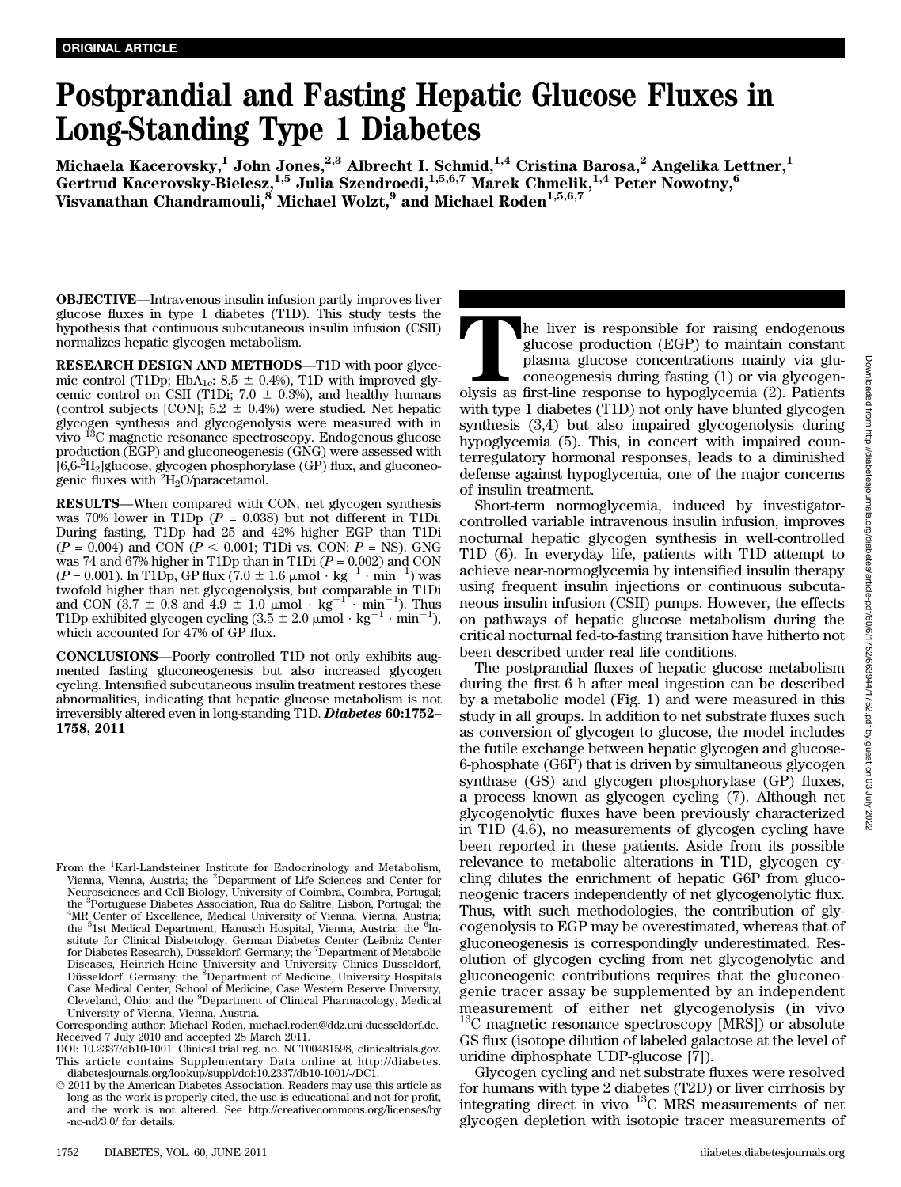# Postprandial and Fasting Hepatic Glucose Fluxes in Long-Standing Type 1 Diabetes

Michaela Kacerovsky, $^{1}$  John Jones, $^{2,3}$  Albrecht I. Schmid, $^{1,4}$  Cristina Barosa, $^{2}$  Angelika Lettner, $^{1}$ Gertrud Kacerovsky-Bielesz, <sup>1,5</sup> Julia Szendroedi, <sup>1,5,6,7</sup> Marek Chmelik, <sup>1,4</sup> Peter Nowotny, <sup>6</sup> Visvanathan Chandramouli, $^8$  Michael Wolzt, $^9$  and Michael Roden $^{1,5,6,7}$ 

OBJECTIVE—Intravenous insulin infusion partly improves liver glucose fluxes in type 1 diabetes (T1D). This study tests the hypothesis that continuous subcutaneous insulin infusion (CSII) normalizes hepatic glycogen metabolism.

RESEARCH DESIGN AND METHODS—T1D with poor glycemic control (T1Dp; HbA<sub>1c</sub>: 8.5  $\pm$  0.4%), T1D with improved glycemic control on CSII (T1Di;  $7.0 \pm 0.3$ %), and healthy humans (control subjects [CON];  $5.2 \pm 0.4$ %) were studied. Net hepatic glycogen synthesis and glycogenolysis were measured with in vivo 13C magnetic resonance spectroscopy. Endogenous glucose production (EGP) and gluconeogenesis (GNG) were assessed with [6,6-2 H2]glucose, glycogen phosphorylase (GP) flux, and gluconeogenic fluxes with  ${}^{2}H_{2}O$ /paracetamol.

RESULTS—When compared with CON, net glycogen synthesis was 70% lower in T1Dp  $(P = 0.038)$  but not different in T1Di. During fasting, T1Dp had 25 and 42% higher EGP than T1Di  $(P = 0.004)$  and CON  $(P < 0.001$ ; T1Di vs. CON:  $P = NS$ ). GNG was 74 and 67% higher in T1Dp than in T1Di  $(P = 0.002)$  and CON  $(P = 0.001)$ . In T1Dp, GP flux  $(7.0 \pm 1.6 \mu \text{mol} \cdot \text{kg}^{-1} \cdot \text{min}^{-1})$  was twofold higher than net glycogenolysis, but comparable in T1Di and CON  $(3.7 \pm 0.8 \text{ and } 4.9 \pm 1.0 \text{ } \mu \text{mol} \cdot \text{kg}^{-1} \cdot \text{min}^{-1})$ . Thus T1Dp exhibited glycogen cycling  $(3.5 \pm 2.0 \mu mol \cdot kg^{-1} \cdot min^{-1}),$ which accounted for 47% of GP flux.

CONCLUSIONS—Poorly controlled T1D not only exhibits augmented fasting gluconeogenesis but also increased glycogen cycling. Intensified subcutaneous insulin treatment restores these abnormalities, indicating that hepatic glucose metabolism is not irreversibly altered even in long-standing T1D. Diabetes 60:1752– 1758, 2011

Corresponding author: Michael Roden, michael.roden@ddz.uni-duesseldorf.de. Received 7 July 2010 and accepted 28 March 2011.

DOI: 10.2337/db10-1001. Clinical trial reg. no. NCT00481598, clinicaltrials.gov. This article contains Supplementary Data online at http://diabetes. diabetesjournals.org/lookup/suppl/doi:10.2337/db10-1001/-/DC1.

The liver is responsible for raising endogenous glucose production (EGP) to maintain constant plasma glucose concentrations mainly via glucose<br>coneogenesis during fasting (1) or via glycogenolysis as first-line response to glucose production (EGP) to maintain constant plasma glucose concentrations mainly via gluconeogenesis during fasting (1) or via glycogenwith type 1 diabetes (T1D) not only have blunted glycogen synthesis (3,4) but also impaired glycogenolysis during hypoglycemia (5). This, in concert with impaired counterregulatory hormonal responses, leads to a diminished defense against hypoglycemia, one of the major concerns of insulin treatment.

Short-term normoglycemia, induced by investigatorcontrolled variable intravenous insulin infusion, improves nocturnal hepatic glycogen synthesis in well-controlled T1D (6). In everyday life, patients with T1D attempt to achieve near-normoglycemia by intensified insulin therapy using frequent insulin injections or continuous subcutaneous insulin infusion (CSII) pumps. However, the effects on pathways of hepatic glucose metabolism during the critical nocturnal fed-to-fasting transition have hitherto not been described under real life conditions.

The postprandial fluxes of hepatic glucose metabolism during the first 6 h after meal ingestion can be described by a metabolic model (Fig. 1) and were measured in this study in all groups. In addition to net substrate fluxes such as conversion of glycogen to glucose, the model includes the futile exchange between hepatic glycogen and glucose-6-phosphate (G6P) that is driven by simultaneous glycogen synthase (GS) and glycogen phosphorylase (GP) fluxes, a process known as glycogen cycling (7). Although net glycogenolytic fluxes have been previously characterized in T1D (4,6), no measurements of glycogen cycling have been reported in these patients. Aside from its possible relevance to metabolic alterations in T1D, glycogen cycling dilutes the enrichment of hepatic G6P from gluconeogenic tracers independently of net glycogenolytic flux. Thus, with such methodologies, the contribution of glycogenolysis to EGP may be overestimated, whereas that of gluconeogenesis is correspondingly underestimated. Resolution of glycogen cycling from net glycogenolytic and gluconeogenic contributions requires that the gluconeogenic tracer assay be supplemented by an independent measurement of either net glycogenolysis (in vivo  $^{13}$ C magnetic resonance spectroscopy [MRS]) or absolute GS flux (isotope dilution of labeled galactose at the level of uridine diphosphate UDP-glucose [7]).

Glycogen cycling and net substrate fluxes were resolved for humans with type 2 diabetes (T2D) or liver cirrhosis by integrating direct in vivo 13C MRS measurements of net glycogen depletion with isotopic tracer measurements of

From the <sup>1</sup>Karl-Landsteiner Institute for Endocrinology and Metabolism, Vienna, Vienna, Austria; the <sup>2</sup>Department of Life Sciences and Center for Neurosciences and Cell Biology, University of Coimbra, Coimbra, Portugal; the <sup>3</sup>Portuguese Diabetes Association, Rua do Salitre, Lisbon, Portugal; the <sup>4</sup>MR Center of Excellence, Medical University of Vienna, Vienna, Austria; the <sup>5</sup>1st Medical Department, Hanusch Hospital, Vienna, Austria; the <sup>6</sup>Institute for Clinical Diabetology, German Diabetes Center (Leibniz Center for Diabetes Research), Düsseldorf, Germany; the <sup>7</sup> Department of Metabolic Diseases, Heinrich-Heine University and University Clinics Düsseldorf, Düsseldorf, Germany; the <sup>8</sup>Department of Medicine, University Hospitals Case Medical Center, School of Medicine, Case Western Reserve University, Cleveland, Ohio; and the <sup>9</sup>Department of Clinical Pharmacology, Medical University of Vienna, Vienna, Austria.

2011 by the American Diabetes Association. Readers may use this article as long as the work is properly cited, the use is educational and not for profit, and the work is not altered. See http://creativecommons.org/licenses/by -nc-nd/3.0/ for details.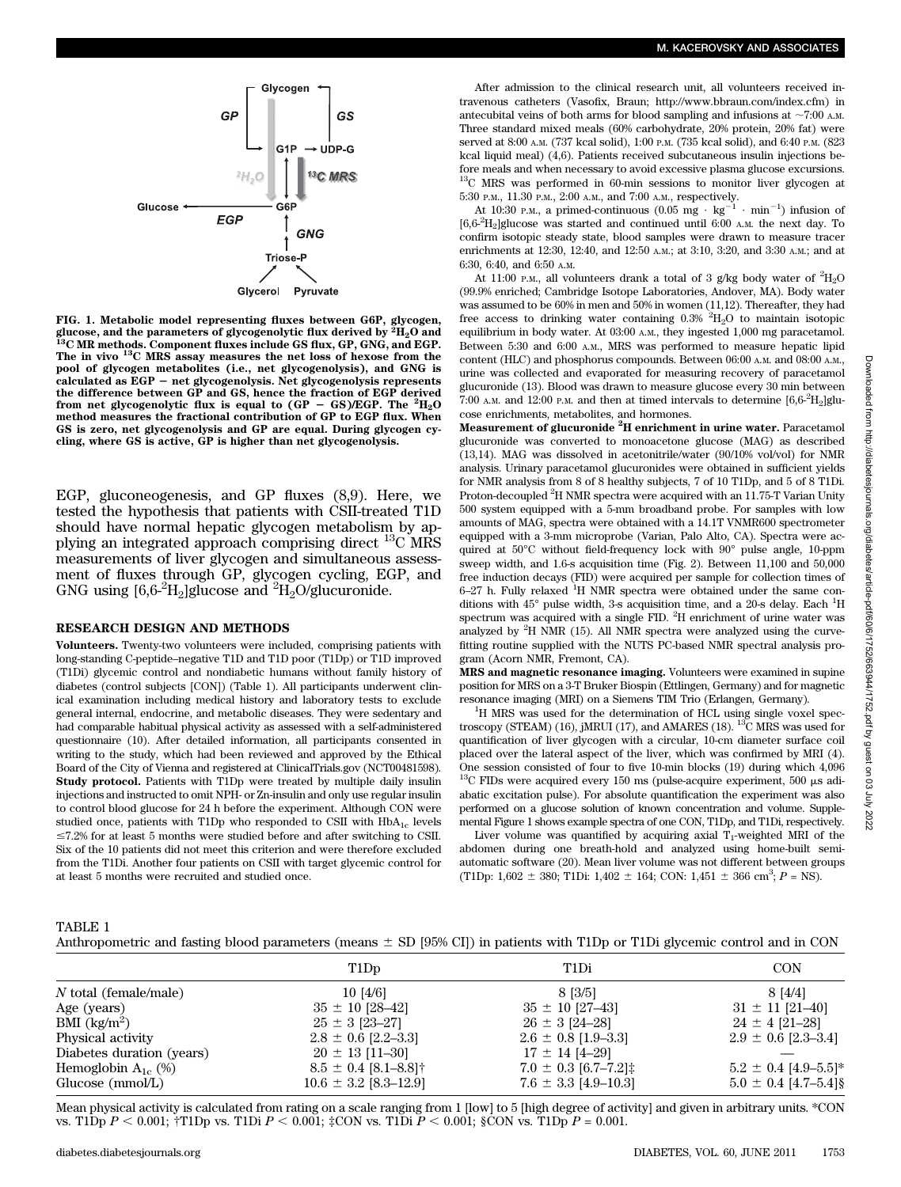

FIG. 1. Metabolic model representing fluxes between G6P, glycogen, glucose, and the parameters of glycogenolytic flux derived by  $\frac{3}{2}H_2O$  and  $^{13}C$  MR methods. Component fluxes include GS flux, GP, GNG, and EGP. The in vivo <sup>13</sup>C MRS assay measures the net loss of hexose from the pool of glycogen metabolites (i.e., net glycogenolysis), and GNG is<br>calculated as EGP – net glycogenolysis. Net glycogenolysis represents the difference between GP and GS, hence the fraction of EGP derived from net glycogenolytic flux is equal to  $(GP - GS)/EGP$ . The  ${}^{2}H_{2}O$ method measures the fractional contribution of GP to EGP flux. When GS is zero, net glycogenolysis and GP are equal. During glycogen cycling, where GS is active, GP is higher than net glycogenolysis.

EGP, gluconeogenesis, and GP fluxes (8,9). Here, we tested the hypothesis that patients with CSII-treated T1D should have normal hepatic glycogen metabolism by applying an integrated approach comprising direct 13C MRS measurements of liver glycogen and simultaneous assessment of fluxes through GP, glycogen cycling, EGP, and GNG using  $[6,6\text{-}^2\text{H}_2]$ glucose and  $^2\text{H}_2$ O/glucuronide.

#### RESEARCH DESIGN AND METHODS

Volunteers. Twenty-two volunteers were included, comprising patients with long-standing C-peptide–negative T1D and T1D poor (T1Dp) or T1D improved (T1Di) glycemic control and nondiabetic humans without family history of diabetes (control subjects [CON]) (Table 1). All participants underwent clinical examination including medical history and laboratory tests to exclude general internal, endocrine, and metabolic diseases. They were sedentary and had comparable habitual physical activity as assessed with a self-administered questionnaire (10). After detailed information, all participants consented in writing to the study, which had been reviewed and approved by the Ethical Board of the City of Vienna and registered at ClinicalTrials.gov (NCT00481598). Study protocol. Patients with T1Dp were treated by multiple daily insulin injections and instructed to omit NPH- or Zn-insulin and only use regular insulin to control blood glucose for 24 h before the experiment. Although CON were studied once, patients with T1Dp who responded to CSII with  $HbA_{1c}$  levels  $\leq$ 7.2% for at least 5 months were studied before and after switching to CSII. Six of the 10 patients did not meet this criterion and were therefore excluded from the T1Di. Another four patients on CSII with target glycemic control for at least 5 months were recruited and studied once.

After admission to the clinical research unit, all volunteers received intravenous catheters (Vasofix, Braun; http://www.bbraun.com/index.cfm) in antecubital veins of both arms for blood sampling and infusions at  $\sim$ 7:00 A.M. Three standard mixed meals (60% carbohydrate, 20% protein, 20% fat) were served at 8:00 A.M. (737 kcal solid), 1:00 P.M. (735 kcal solid), and 6:40 P.M. (823 kcal liquid meal) (4,6). Patients received subcutaneous insulin injections before meals and when necessary to avoid excessive plasma glucose excursions.  $13C$  MRS was performed in 60-min sessions to monitor liver glycogen at 5:30 P.M., 11.30 P.M., 2:00 A.M., and 7:00 A.M., respectively.

At 10:30 P.M., a primed-continuous  $(0.05 \text{ mg} \cdot \text{kg}^{-1} \cdot \text{min}^{-1})$  infusion of [6,6-<sup>2</sup> H2]glucose was started and continued until 6:00 A.M. the next day. To confirm isotopic steady state, blood samples were drawn to measure tracer enrichments at 12:30, 12:40, and 12:50 A.M.; at 3:10, 3:20, and 3:30 A.M.; and at 6:30, 6:40, and 6:50 A.M.

At 11:00 p.m., all volunteers drank a total of 3 g/kg body water of  ${}^{2}{\rm H}_{2}{\rm O}$ (99.9% enriched; Cambridge Isotope Laboratories, Andover, MA). Body water was assumed to be 60% in men and 50% in women (11,12). Thereafter, they had free access to drinking water containing  $0.3\%$  <sup>2</sup>H<sub>2</sub>O to maintain isotopic equilibrium in body water. At 03:00 A.M., they ingested 1,000 mg paracetamol. Between 5:30 and 6:00 A.M., MRS was performed to measure hepatic lipid content (HLC) and phosphorus compounds. Between 06:00 A.M. and 08:00 A.M., urine was collected and evaporated for measuring recovery of paracetamol glucuronide (13). Blood was drawn to measure glucose every 30 min between 7:00 A.M. and 12:00 P.M. and then at timed intervals to determine  $[6,6^2\mathrm{H}_2]$ glucose enrichments, metabolites, and hormones.

Measurement of glucuronide  $^2\mathrm{H}$  enrichment in urine water. <code>Paracetamol</code> glucuronide was converted to monoacetone glucose (MAG) as described (13,14). MAG was dissolved in acetonitrile/water (90/10% vol/vol) for NMR analysis. Urinary paracetamol glucuronides were obtained in sufficient yields for NMR analysis from 8 of 8 healthy subjects, 7 of 10 T1Dp, and 5 of 8 T1Di. Proton-decoupled <sup>2</sup>H NMR spectra were acquired with an 11.75-T Varian Unity 500 system equipped with a 5-mm broadband probe. For samples with low amounts of MAG, spectra were obtained with a 14.1T VNMR600 spectrometer equipped with a 3-mm microprobe (Varian, Palo Alto, CA). Spectra were acquired at 50°C without field-frequency lock with 90° pulse angle, 10-ppm sweep width, and 1.6-s acquisition time (Fig. 2). Between 11,100 and 50,000 free induction decays (FID) were acquired per sample for collection times of 6-27 h. Fully relaxed <sup>1</sup>H NMR spectra were obtained under the same conditions with  $45^{\circ}$  pulse width, 3-s acquisition time, and a 20-s delay. Each <sup>1</sup>H spectrum was acquired with a single FID. <sup>2</sup>H enrichment of urine water was analyzed by  ${}^{2}H$  NMR (15). All NMR spectra were analyzed using the curvefitting routine supplied with the NUTS PC-based NMR spectral analysis program (Acorn NMR, Fremont, CA).

MRS and magnetic resonance imaging. Volunteers were examined in supine position for MRS on a 3-T Bruker Biospin (Ettlingen, Germany) and for magnetic resonance imaging (MRI) on a Siemens TIM Trio (Erlangen, Germany). <sup>1</sup>

<sup>1</sup>H MRS was used for the determination of HCL using single voxel spectroscopy (STEAM) (16), jMRUI (17), and AMARES (18). <sup>13</sup>C MRS was used for quantification of liver glycogen with a circular, 10-cm diameter surface coil placed over the lateral aspect of the liver, which was confirmed by MRI (4). One session consisted of four to five 10-min blocks (19) during which 4,096 <sup>13</sup>C FIDs were acquired every 150 ms (pulse-acquire experiment, 500  $\mu$ s adiabatic excitation pulse). For absolute quantification the experiment was also performed on a glucose solution of known concentration and volume. Supplemental Figure 1 shows example spectra of one CON, T1Dp, and T1Di, respectively.

Liver volume was quantified by acquiring axial  $T_1$ -weighted MRI of the abdomen during one breath-hold and analyzed using home-built semiautomatic software (20). Mean liver volume was not different between groups (T1Dp: 1,602  $\pm$  380; T1Di: 1,402  $\pm$  164; CON: 1,451  $\pm$  366 cm<sup>3</sup>;  $P = NS$ ).

TABLE 1

| Anthropometric and fasting blood parameters (means $\pm$ SD [95% CI]) in patients with T1Dp or T1Di glycemic control and in CON |  |  |  |  |
|---------------------------------------------------------------------------------------------------------------------------------|--|--|--|--|
|---------------------------------------------------------------------------------------------------------------------------------|--|--|--|--|

|                            | T1D <sub>p</sub>          | T1Di                               | <b>CON</b>               |
|----------------------------|---------------------------|------------------------------------|--------------------------|
| $N$ total (female/male)    | 10 [4/6]                  | 8 [3/5]                            | 8 [4/4]                  |
| Age (years)                | $35 \pm 10$ [28-42]       | $35 \pm 10$ [27-43]                | $31 \pm 11$ [21-40]      |
| $BMI$ (kg/m <sup>2</sup> ) | $25 \pm 3$ [23-27]        | $26 \pm 3$ [24-28]                 | $24 \pm 4$ [21-28]       |
| Physical activity          | $2.8 \pm 0.6$ [2.2–3.3]   | $2.6 \pm 0.8$ [1.9–3.3]            | $2.9 \pm 0.6$ [2.3–3.4]  |
| Diabetes duration (years)  | $20 \pm 13$ [11-30]       | $17 \pm 14$ [4-29]                 |                          |
| Hemoglobin $A_{1c}$ (%)    | $8.5 \pm 0.4$ [8.1–8.8]†  | $7.0 \pm 0.3$ [6.7-7.2] $\ddagger$ | $5.2 \pm 0.4$ [4.9-5.5]* |
| Glucose (mmol/L)           | $10.6 \pm 3.2$ [8.3-12.9] | $7.6 \pm 3.3$ [4.9-10.3]           | $5.0 \pm 0.4$ [4.7-5.4]§ |

Mean physical activity is calculated from rating on a scale ranging from 1 [low] to 5 [high degree of activity] and given in arbitrary units. \*CON vs. T1Dp  $P < 0.001$ ; †T1Dp vs. T1Di  $P < 0.001$ ; ‡CON vs. T1Di  $P < 0.001$ ; §CON vs. T1Dp  $P = 0.001$ .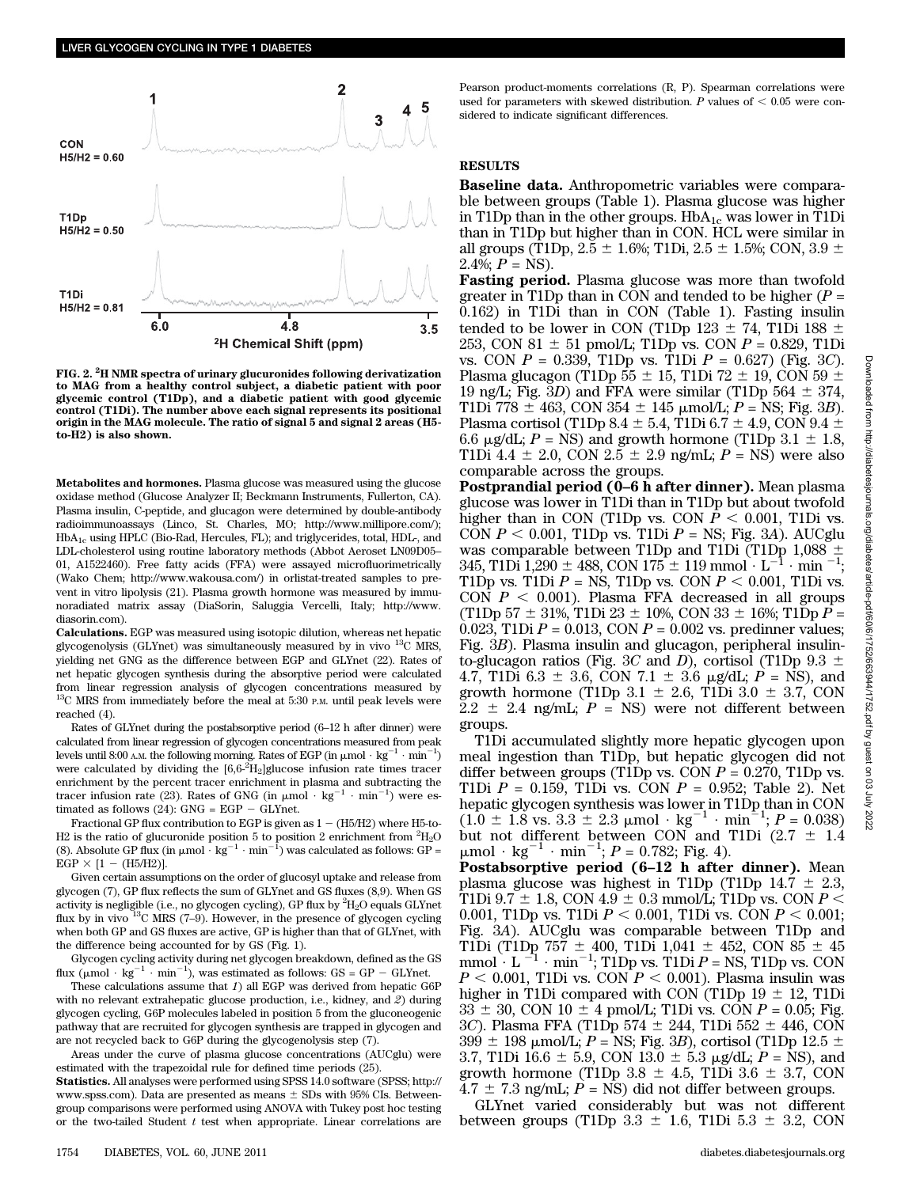

FIG. 2.  $\rm ^2H$  NMR spectra of urinary glucuronides following derivatization to MAG from a healthy control subject, a diabetic patient with poor glycemic control (T1Dp), and a diabetic patient with good glycemic control (T1Di). The number above each signal represents its positional origin in the MAG molecule. The ratio of signal 5 and signal 2 areas (H5 to-H2) is also shown.

Metabolites and hormones. Plasma glucose was measured using the glucose oxidase method (Glucose Analyzer II; Beckmann Instruments, Fullerton, CA). Plasma insulin, C-peptide, and glucagon were determined by double-antibody radioimmunoassays (Linco, St. Charles, MO; http://www.millipore.com/); HbA1c using HPLC (Bio-Rad, Hercules, FL); and triglycerides, total, HDL-, and LDL-cholesterol using routine laboratory methods (Abbot Aeroset LN09D05– 01, A1522460). Free fatty acids (FFA) were assayed microfluorimetrically (Wako Chem; http://www.wakousa.com/) in orlistat-treated samples to prevent in vitro lipolysis (21). Plasma growth hormone was measured by immunoradiated matrix assay (DiaSorin, Saluggia Vercelli, Italy; http://www. diasorin.com).

Calculations. EGP was measured using isotopic dilution, whereas net hepatic glycogenolysis (GLYnet) was simultaneously measured by in vivo  $^{13}$ C MRS, yielding net GNG as the difference between EGP and GLYnet (22). Rates of net hepatic glycogen synthesis during the absorptive period were calculated from linear regression analysis of glycogen concentrations measured by  $13<sup>C</sup>$  MRS from immediately before the meal at 5:30 P.M. until peak levels were reached (4).

Rates of GLYnet during the postabsorptive period (6–12 h after dinner) were calculated from linear regression of glycogen concentrations measured from peak levels until 8:00 A.M. the following morning. Rates of EGP (in  $\mu$ mol  $\cdot$  kg<sup>-1</sup>  $\cdot$  min<sup>-1</sup>) were calculated by dividing the  $[6,6^2]$ H<sub>2</sub>]glucose infusion rate times tracer enrichment by the percent tracer enrichment in plasma and subtracting the tracer infusion rate (23). Rates of GNG (in  $\mu$ mol · kg<sup>-1</sup> · min<sup>-1</sup>) were estimated as follows (24):  $GNG = EGP - GLYnet$ .

Fractional GP flux contribution to EGP is given as  $1 - (H5/H2)$  where H5-to-H2 is the ratio of glucuronide position 5 to position 2 enrichment from  ${}^{2}{\rm H}_{2}{\rm O}$ (8). Absolute GP flux (in  $\mu$ mol  $\cdot$  kg<sup>-1</sup>  $\cdot$  min<sup>-1</sup>) was calculated as follows: GP =  $EGP \times [1 - (H5/H2)].$ 

Given certain assumptions on the order of glucosyl uptake and release from glycogen (7), GP flux reflects the sum of GLYnet and GS fluxes (8,9). When GS activity is negligible (i.e., no glycogen cycling), GP flux by  ${}^2\mathrm{H}_2\mathrm{O}$  equals GLYnet flux by in vivo  $^{13}$ C MRS (7–9). However, in the presence of glycogen cycling when both GP and GS fluxes are active, GP is higher than that of GLYnet, with the difference being accounted for by GS (Fig. 1).

Glycogen cycling activity during net glycogen breakdown, defined as the GS flux  $(\mu \text{mol} \cdot \text{kg}^{-1} \cdot \text{min}^{-1})$ , was estimated as follows: GS = GP - GLYnet.

These calculations assume that 1) all EGP was derived from hepatic G6P with no relevant extrahepatic glucose production, i.e., kidney, and 2) during glycogen cycling, G6P molecules labeled in position 5 from the gluconeogenic pathway that are recruited for glycogen synthesis are trapped in glycogen and are not recycled back to G6P during the glycogenolysis step (7).

Areas under the curve of plasma glucose concentrations (AUCglu) were estimated with the trapezoidal rule for defined time periods (25).

Statistics. All analyses were performed using SPSS 14.0 software (SPSS; http:// www.spss.com). Data are presented as means  $\pm$  SDs with 95% CIs. Betweengroup comparisons were performed using ANOVA with Tukey post hoc testing or the two-tailed Student  $t$  test when appropriate. Linear correlations are

Pearson product-moments correlations (R, P). Spearman correlations were used for parameters with skewed distribution.  $P$  values of  $< 0.05$  were considered to indicate significant differences.

### **RESULTS**

Baseline data. Anthropometric variables were comparable between groups (Table 1). Plasma glucose was higher in T1Dp than in the other groups.  $HbA_{1c}$  was lower in T1Di than in T1Dp but higher than in CON. HCL were similar in all groups (T1Dp,  $2.5 \pm 1.6\%$ ; T1Di,  $2.5 \pm 1.5\%$ ; CON,  $3.9 \pm$  $2.4\%; P = NS$ ).

Fasting period. Plasma glucose was more than twofold greater in T1Dp than in CON and tended to be higher  $(P =$ 0.162) in T1Di than in CON (Table 1). Fasting insulin tended to be lower in CON (T1Dp 123  $\pm$  74, T1Di 188  $\pm$ 253, CON 81  $\pm$  51 pmol/L; T1Dp vs. CON  $P = 0.829$ , T1Di vs. CON  $P = 0.339$ . T1Dp vs. T1Di  $P = 0.627$  (Fig. 3C). Plasma glucagon (T1Dp 55  $\pm$  15, T1Di 72  $\pm$  19, CON 59  $\pm$ 19 ng/L; Fig. 3D) and FFA were similar (T1Dp 564  $\pm$  374, T1Di 778  $\pm$  463, CON 354  $\pm$  145  $\mu$ mol/L; P = NS; Fig. 3B). Plasma cortisol (T1Dp 8.4  $\pm$  5.4, T1Di 6.7  $\pm$  4.9, CON 9.4  $\pm$ 6.6  $\mu$ g/dL; P = NS) and growth hormone (T1Dp 3.1  $\pm$  1.8, T1Di 4.4  $\pm$  2.0, CON 2.5  $\pm$  2.9 ng/mL; P = NS) were also comparable across the groups.

Postprandial period (0–6 h after dinner). Mean plasma glucose was lower in T1Di than in T1Dp but about twofold higher than in CON (T1Dp vs. CON  $P < 0.001$ , T1Di vs. CON  $P < 0.001$ , T1Dp vs. T1Di  $P = NS$ ; Fig. 3A). AUCglu was comparable between T1Dp and T1Di (T1Dp 1,088  $\pm$ 345, T1Di 1,290  $\pm$  488, CON 175  $\pm$  119 mmol  $\cdot$  L<sup>-1</sup>  $\cdot$  min <sup>-1</sup>; T1Dp vs. T1Di  $P =$  NS, T1Dp vs. CON  $P < 0.001$ , T1Di vs. CON  $P < 0.001$ ). Plasma FFA decreased in all groups (T1Dp 57  $\pm$  31%, T1Di 23  $\pm$  10%, CON 33  $\pm$  16%; T1Dp P = 0.023, T1Di  $P = 0.013$ , CON  $P = 0.002$  vs. predinner values; Fig. 3B). Plasma insulin and glucagon, peripheral insulinto-glucagon ratios (Fig. 3C and D), cortisol (T1Dp 9.3  $\pm$ 4.7, T1Di 6.3  $\pm$  3.6, CON 7.1  $\pm$  3.6 µg/dL; P = NS), and growth hormone (T1Dp  $3.1 \pm 2.6$ , T1Di  $3.0 \pm 3.7$ , CON  $2.2 \pm 2.4$  ng/mL;  $P = NS$ ) were not different between groups.

T1Di accumulated slightly more hepatic glycogen upon meal ingestion than T1Dp, but hepatic glycogen did not differ between groups (T1Dp vs. CON  $P = 0.270$ , T1Dp vs. T1Di  $P = 0.159$ , T1Di vs. CON  $P = 0.952$ ; Table 2). Net hepatic glycogen synthesis was lower in T1Dp than in CON  $(1.0 \pm 1.8 \text{ vs. } 3.3 \pm 2.3 \text{ }\mu\text{mol}\cdot\text{ kg}^{-1}\cdot\text{min}^{-1}; P = 0.038)$ but not different between CON and T1Di  $(2.7 \pm 1.4)$  $\mu$ mol · kg<sup>-1</sup> · min<sup>-1</sup>; *P* = 0.782; Fig. 4).

Postabsorptive period (6–12 h after dinner). Mean plasma glucose was highest in T1Dp (T1Dp 14.7  $\pm$  2.3, T1Di 9.7  $\pm$  1.8, CON 4.9  $\pm$  0.3 mmol/L; T1Dp vs. CON P < 0.001, T1Dp vs. T1Di  $P < 0.001$ , T1Di vs. CON  $P < 0.001$ ; Fig. 3A). AUCglu was comparable between T1Dp and T1Di (T1Dp 757  $\pm$  400, T1Di 1,041  $\pm$  452, CON 85  $\pm$  45 mmol  $\cdot$  L  $^{-1}$   $\cdot$  min<sup>-1</sup>; T1Dp vs. T1Di P = NS, T1Dp vs. CON  $P < 0.001$ , T1Di vs. CON  $P < 0.001$ ). Plasma insulin was higher in T1Di compared with CON (T1Dp  $19 \pm 12$ , T1Di  $33 \pm 30$ , CON  $10 \pm 4$  pmol/L; T1Di vs. CON  $P = 0.05$ ; Fig. 3C). Plasma FFA (T1Dp 574  $\pm$  244, T1Di 552  $\pm$  446, CON  $399 \pm 198$  µmol/L; P = NS; Fig. 3B), cortisol (T1Dp 12.5  $\pm$ 3.7, T1Di 16.6  $\pm$  5.9, CON 13.0  $\pm$  5.3 µg/dL; P = NS), and growth hormone (T1Dp  $3.8 \pm 4.5$ , T1Di  $3.6 \pm 3.7$ , CON  $4.7 \pm 7.3$  ng/mL; P = NS) did not differ between groups.

GLYnet varied considerably but was not different between groups (T1Dp  $3.3 \pm 1.6$ , T1Di  $5.3 \pm 3.2$ , CON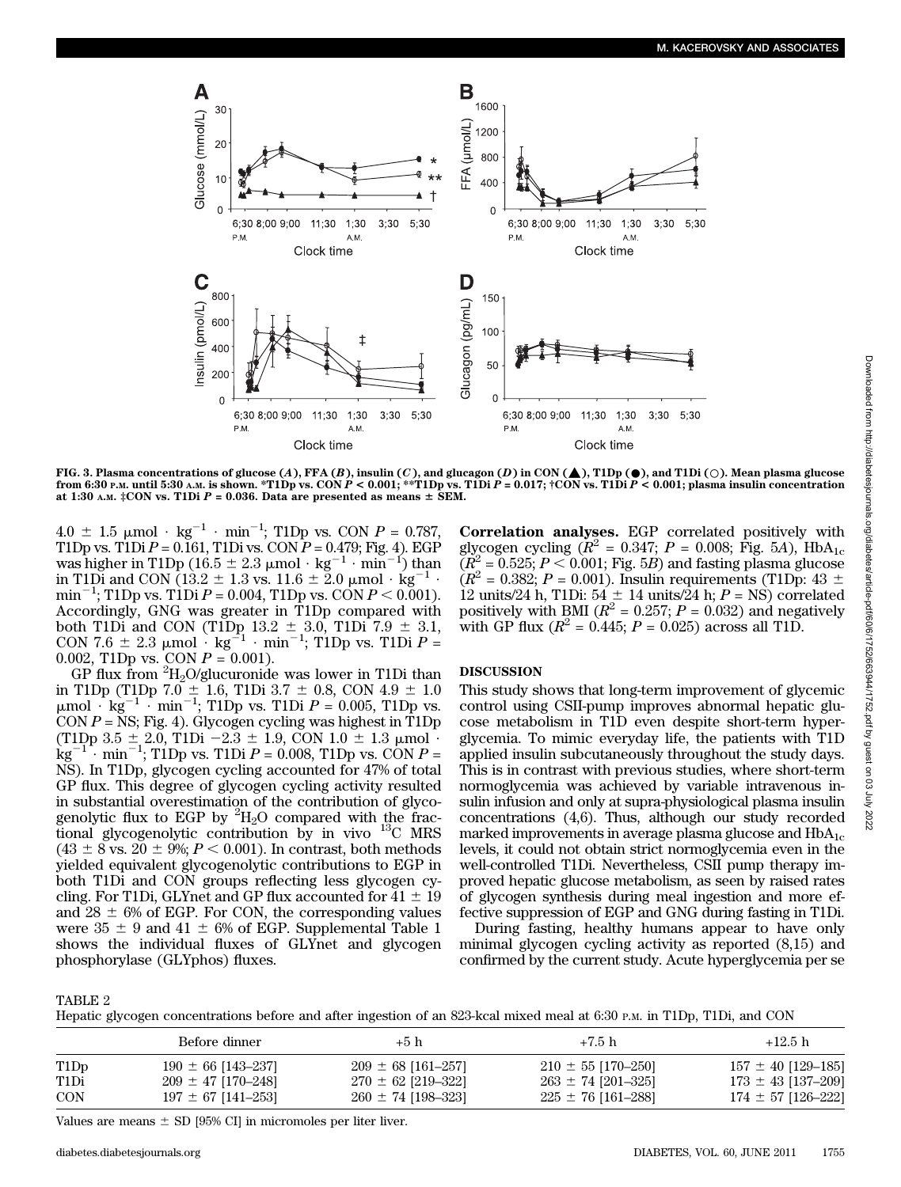

FIG. 3. Plasma concentrations of glucose  $(A)$ , FFA  $(B)$ , insulin  $(C)$ , and glucagon  $(D)$  in CON ( $\blacktriangle$ ), T1Dp ( $\blacklozenge$ ), and T1Di ( $\bigcirc$ ). Mean plasma glucose from 6:30 P.M. until 5:30 A.M. is shown. \*T1Dp vs. CON  $P < 0.001$ ; \*\*T1Dp vs. T1Di  $P = 0.017$ ; †CON vs. T1Di  $P < 0.001$ ; plasma insulin concentration at 1:30 A.M.  $\ddagger$ CON vs. T1Di P = 0.036. Data are presented as means  $\pm$  SEM.

 $4.0 \pm 1.5 \text{ }\mu\text{mol} \cdot \text{kg}^{-1} \cdot \text{min}^{-1}$ ; T1Dp vs. CON  $P = 0.787$ , T1Dp vs. T1Di  $P = 0.\overline{161}$ , T1Di vs. CON  $P = 0.479$ ; Fig. 4). EGP was higher in T1Dp (16.5  $\pm$  2.3 µmol  $\cdot$  kg<sup>-1</sup>  $\cdot$  min<sup>-1</sup>) than in T1Di and CON (13.2  $\pm$  1.3 vs. 11.6  $\pm$  2.0 µmol  $\cdot$  kg<sup>-1</sup>  $\cdot$  $\min^{-1}$ ; T1Dp vs. T1Di  $P = 0.004$ , T1Dp vs. CON  $P < 0.001$ ). Accordingly, GNG was greater in T1Dp compared with both T1Di and CON (T1Dp  $13.2 \pm 3.0$ , T1Di  $7.9 \pm 3.1$ , CON 7.6  $\pm$  2.3 µmol  $\cdot$  kg<sup>-1</sup>  $\cdot$  min<sup>-1</sup>; T1Dp vs. T1Di P = 0.002, T1Dp vs. CON  $P = 0.001$ ).

 $GP$  flux from  ${}^{2}H_{2}O/g$ lucuronide was lower in T1Di than in T1Dp (T1Dp 7.0  $\pm$  1.6, T1Di 3.7  $\pm$  0.8, CON 4.9  $\pm$  1.0  $\mu$ mol  $\cdot$  kg<sup>-1</sup>  $\cdot$  min<sup>-1</sup>; T1Dp vs. T1Di  $P = 0.005$ , T1Dp vs. CON  $P = NS$ ; Fig. 4). Glycogen cycling was highest in T1Dp (T1Dp 3.5  $\pm$  2.0, T1Di -2.3  $\pm$  1.9, CON 1.0  $\pm$  1.3  $\mu$ mol  $\cdot$  $kg^{-1}$  min<sup>-1</sup>; T1Dp vs. T1Di P = 0.008, T1Dp vs. CON P = NS). In T1Dp, glycogen cycling accounted for 47% of total GP flux. This degree of glycogen cycling activity resulted in substantial overestimation of the contribution of glycogenolytic flux to EGP by  ${}^{2}H_{2}O$  compared with the fractional glycogenolytic contribution by in vivo 13C MRS  $(43 \pm 8 \text{ vs. } 20 \pm 9\%; P < 0.001)$ . In contrast, both methods yielded equivalent glycogenolytic contributions to EGP in both T1Di and CON groups reflecting less glycogen cycling. For T1Di, GLYnet and GP flux accounted for  $41 \pm 19$ and  $28 \pm 6\%$  of EGP. For CON, the corresponding values were  $35 \pm 9$  and  $41 \pm 6\%$  of EGP. Supplemental Table 1 shows the individual fluxes of GLYnet and glycogen phosphorylase (GLYphos) fluxes.

Correlation analyses. EGP correlated positively with glycogen cycling ( $R^2 = 0.347$ ;  $P = 0.008$ ; Fig. 5A), HbA<sub>1c</sub>  $(R^2 = 0.525; P < 0.001;$  Fig. 5B) and fasting plasma glucose  $(R^2 = 0.382; P = 0.001)$ . Insulin requirements (T1Dp: 43  $\pm$ ) 12 units/24 h, T1Di:  $54 \pm 14$  units/24 h;  $P = NS$ ) correlated positively with BMI ( $R^2 = 0.257$ ;  $P = 0.032$ ) and negatively with GP flux  $(R^2 = 0.445; P = 0.025)$  across all T1D.

## DISCUSSION

This study shows that long-term improvement of glycemic control using CSII-pump improves abnormal hepatic glucose metabolism in T1D even despite short-term hyperglycemia. To mimic everyday life, the patients with T1D applied insulin subcutaneously throughout the study days. This is in contrast with previous studies, where short-term normoglycemia was achieved by variable intravenous insulin infusion and only at supra-physiological plasma insulin concentrations (4,6). Thus, although our study recorded marked improvements in average plasma glucose and  $HbA_{1c}$ levels, it could not obtain strict normoglycemia even in the well-controlled T1Di. Nevertheless, CSII pump therapy improved hepatic glucose metabolism, as seen by raised rates of glycogen synthesis during meal ingestion and more effective suppression of EGP and GNG during fasting in T1Di.

During fasting, healthy humans appear to have only minimal glycogen cycling activity as reported (8,15) and confirmed by the current study. Acute hyperglycemia per se

TABLE 2

|  | Hepatic glycogen concentrations before and after ingestion of an 823-kcal mixed meal at 6:30 P.M. in T1Dp, T1Di, and CON |  |  |  |  |  |  |  |  |
|--|--------------------------------------------------------------------------------------------------------------------------|--|--|--|--|--|--|--|--|
|--|--------------------------------------------------------------------------------------------------------------------------|--|--|--|--|--|--|--|--|

|                               | Before dinner          | $+5h$                  | $+7.5 h$               | $+12.5 h$              |
|-------------------------------|------------------------|------------------------|------------------------|------------------------|
| T <sub>1</sub> D <sub>p</sub> | $190 \pm 66$ [143-237] | $209 \pm 68$ [161-257] | $210 \pm 55$ [170-250] | $157 \pm 40$ [129-185] |
| T1Di                          | $209 \pm 47$ [170-248] | $270 \pm 62$ [219-322] | $263 \pm 74$ [201-325] | $173 \pm 43$ [137-209] |
| CON                           | $197 \pm 67$ [141-253] | $260 \pm 74$ [198-323] | $225 \pm 76$ [161–288] | $174 \pm 57$ [126-222] |

Values are means  $\pm$  SD [95% CI] in micromoles per liter liver.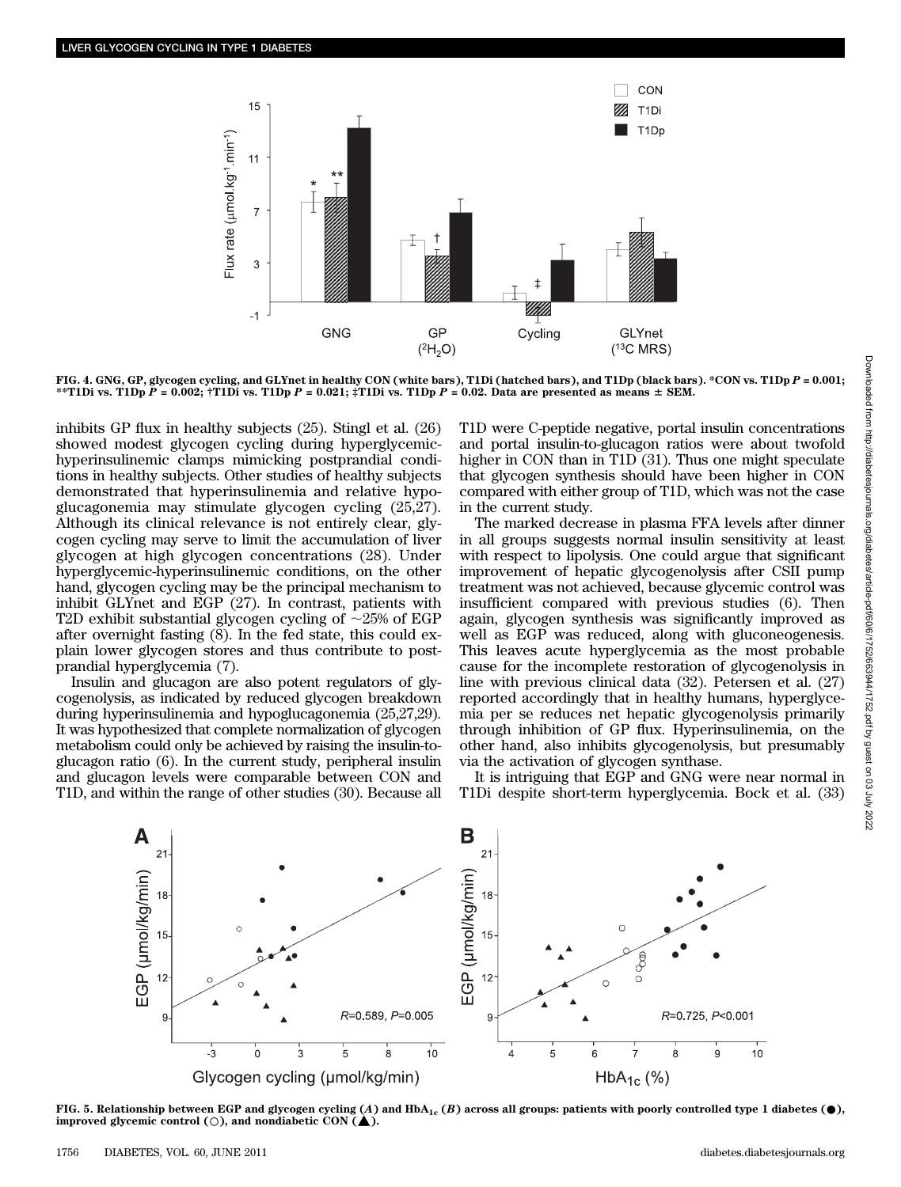

FIG. 4. GNG, GP, glycogen cycling, and GLYnet in healthy CON (white bars), T1Di (hatched bars), and T1Dp (black bars). \*CON vs. T1Dp P = 0.001; \*\*T1Di vs. T1Dp  $\tilde{P} = 0.002$ ; †T1Di vs. T1Dp  $P = 0.021$ ; ‡T1Di vs. T1Dp  $P = 0.02$ . Data are presented as means  $\pm$  SEM.

inhibits GP flux in healthy subjects (25). Stingl et al. (26) showed modest glycogen cycling during hyperglycemichyperinsulinemic clamps mimicking postprandial conditions in healthy subjects. Other studies of healthy subjects demonstrated that hyperinsulinemia and relative hypoglucagonemia may stimulate glycogen cycling (25,27). Although its clinical relevance is not entirely clear, glycogen cycling may serve to limit the accumulation of liver glycogen at high glycogen concentrations (28). Under hyperglycemic-hyperinsulinemic conditions, on the other hand, glycogen cycling may be the principal mechanism to inhibit GLYnet and EGP (27). In contrast, patients with T2D exhibit substantial glycogen cycling of  $\sim$ 25% of EGP after overnight fasting (8). In the fed state, this could explain lower glycogen stores and thus contribute to postprandial hyperglycemia (7).

Insulin and glucagon are also potent regulators of glycogenolysis, as indicated by reduced glycogen breakdown during hyperinsulinemia and hypoglucagonemia (25,27,29). It was hypothesized that complete normalization of glycogen metabolism could only be achieved by raising the insulin-toglucagon ratio (6). In the current study, peripheral insulin and glucagon levels were comparable between CON and T1D, and within the range of other studies (30). Because all

T1D were C-peptide negative, portal insulin concentrations and portal insulin-to-glucagon ratios were about twofold higher in CON than in T1D (31). Thus one might speculate that glycogen synthesis should have been higher in CON compared with either group of T1D, which was not the case in the current study.

The marked decrease in plasma FFA levels after dinner in all groups suggests normal insulin sensitivity at least with respect to lipolysis. One could argue that significant improvement of hepatic glycogenolysis after CSII pump treatment was not achieved, because glycemic control was insufficient compared with previous studies (6). Then again, glycogen synthesis was significantly improved as well as EGP was reduced, along with gluconeogenesis. This leaves acute hyperglycemia as the most probable cause for the incomplete restoration of glycogenolysis in line with previous clinical data (32). Petersen et al. (27) reported accordingly that in healthy humans, hyperglycemia per se reduces net hepatic glycogenolysis primarily through inhibition of GP flux. Hyperinsulinemia, on the other hand, also inhibits glycogenolysis, but presumably via the activation of glycogen synthase.

It is intriguing that EGP and GNG were near normal in T1Di despite short-term hyperglycemia. Bock et al. (33)



FIG. 5. Relationship between EGP and glycogen cycling (A) and  $HbA_{1c}$  (B) across all groups: patients with poorly controlled type 1 diabetes ( $\bullet$ ), improved glycemic control ( $\circ$ ), and nondiabetic CON ( $\blacktriangle$ ).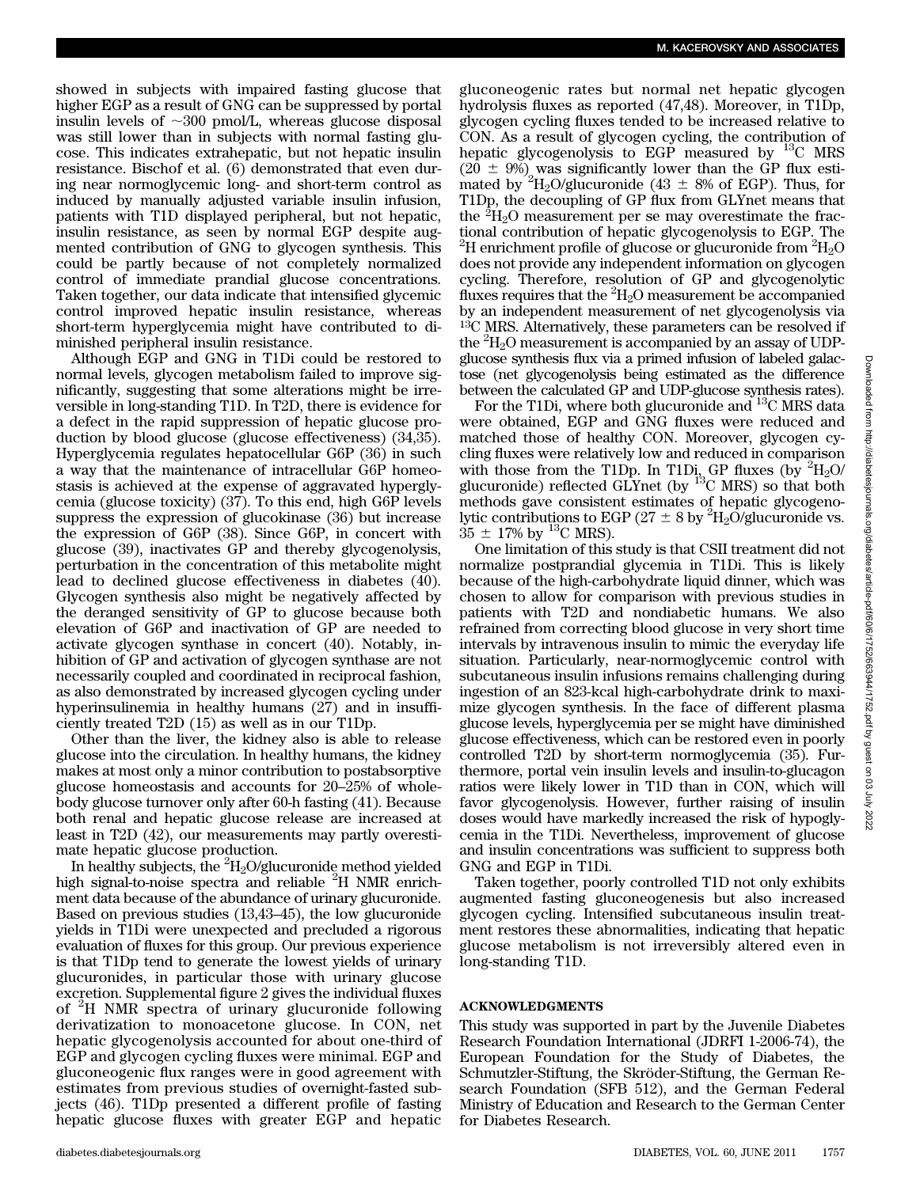showed in subjects with impaired fasting glucose that higher EGP as a result of GNG can be suppressed by portal insulin levels of  $\sim 300$  pmol/L, whereas glucose disposal was still lower than in subjects with normal fasting glucose. This indicates extrahepatic, but not hepatic insulin resistance. Bischof et al. (6) demonstrated that even during near normoglycemic long- and short-term control as induced by manually adjusted variable insulin infusion, patients with T1D displayed peripheral, but not hepatic, insulin resistance, as seen by normal EGP despite augmented contribution of GNG to glycogen synthesis. This could be partly because of not completely normalized control of immediate prandial glucose concentrations. Taken together, our data indicate that intensified glycemic control improved hepatic insulin resistance, whereas short-term hyperglycemia might have contributed to diminished peripheral insulin resistance.

Although EGP and GNG in T1Di could be restored to normal levels, glycogen metabolism failed to improve significantly, suggesting that some alterations might be irreversible in long-standing T1D. In T2D, there is evidence for a defect in the rapid suppression of hepatic glucose production by blood glucose (glucose effectiveness) (34,35). Hyperglycemia regulates hepatocellular G6P (36) in such a way that the maintenance of intracellular G6P homeostasis is achieved at the expense of aggravated hyperglycemia (glucose toxicity) (37). To this end, high G6P levels suppress the expression of glucokinase (36) but increase the expression of G6P (38). Since G6P, in concert with glucose (39), inactivates GP and thereby glycogenolysis, perturbation in the concentration of this metabolite might lead to declined glucose effectiveness in diabetes (40). Glycogen synthesis also might be negatively affected by the deranged sensitivity of GP to glucose because both elevation of G6P and inactivation of GP are needed to activate glycogen synthase in concert (40). Notably, inhibition of GP and activation of glycogen synthase are not necessarily coupled and coordinated in reciprocal fashion, as also demonstrated by increased glycogen cycling under hyperinsulinemia in healthy humans (27) and in insufficiently treated T2D (15) as well as in our T1Dp.

Other than the liver, the kidney also is able to release glucose into the circulation. In healthy humans, the kidney makes at most only a minor contribution to postabsorptive glucose homeostasis and accounts for 20–25% of wholebody glucose turnover only after 60-h fasting (41). Because both renal and hepatic glucose release are increased at least in T2D (42), our measurements may partly overestimate hepatic glucose production.

In healthy subjects, the  $^{2}H_{2}O/g$ lucuronide method yielded high signal-to-noise spectra and reliable  ${}^{2}$ H NMR enrichment data because of the abundance of urinary glucuronide. Based on previous studies (13,43–45), the low glucuronide yields in T1Di were unexpected and precluded a rigorous evaluation of fluxes for this group. Our previous experience is that T1Dp tend to generate the lowest yields of urinary glucuronides, in particular those with urinary glucose excretion. Supplemental figure 2 gives the individual fluxes of <sup>2</sup> H NMR spectra of urinary glucuronide following derivatization to monoacetone glucose. In CON, net hepatic glycogenolysis accounted for about one-third of EGP and glycogen cycling fluxes were minimal. EGP and gluconeogenic flux ranges were in good agreement with estimates from previous studies of overnight-fasted subjects (46). T1Dp presented a different profile of fasting hepatic glucose fluxes with greater EGP and hepatic

gluconeogenic rates but normal net hepatic glycogen hydrolysis fluxes as reported (47,48). Moreover, in T1Dp, glycogen cycling fluxes tended to be increased relative to CON. As a result of glycogen cycling, the contribution of hepatic glycogenolysis to EGP measured by  $^{13}$ C MRS  $(20 \pm 9\%)$  was significantly lower than the GP flux estimated by <sup>2</sup>H<sub>2</sub>O/glucuronide (43  $\pm$  8% of EGP). Thus, for T1Dp, the decoupling of GP flux from GLYnet means that the  ${}^{2}H_{2}O$  measurement per se may overestimate the fractional contribution of hepatic glycogenolysis to EGP. The  $^{2}$ H enrichment profile of glucose or glucuronide from  $^{2}$ H<sub>2</sub>O does not provide any independent information on glycogen cycling. Therefore, resolution of GP and glycogenolytic fluxes requires that the  ${}^{2}H_{2}O$  measurement be accompanied by an independent measurement of net glycogenolysis via  $13<sup>C</sup>$  MRS. Alternatively, these parameters can be resolved if the  ${}^{2}H_{2}O$  measurement is accompanied by an assay of UDPglucose synthesis flux via a primed infusion of labeled galactose (net glycogenolysis being estimated as the difference between the calculated GP and UDP-glucose synthesis rates).

For the T1Di, where both glucuronide and <sup>13</sup>C MRS data were obtained, EGP and GNG fluxes were reduced and matched those of healthy CON. Moreover, glycogen cycling fluxes were relatively low and reduced in comparison with those from the T1Dp. In T1D<sub>I</sub><sub>2</sub> GP fluxes (by  ${}^{2}H_{2}O$ ) glucuronide) reflected GLYnet (by  $^{13}$ C MRS) so that both methods gave consistent estimates of hepatic glycogenolytic contributions to EGP (27  $\pm$  8 by <sup>2</sup>H<sub>2</sub>O/glucuronide vs.  $35 \pm 17\%$  by <sup>13</sup>C MRS).

One limitation of this study is that CSII treatment did not normalize postprandial glycemia in T1Di. This is likely because of the high-carbohydrate liquid dinner, which was chosen to allow for comparison with previous studies in patients with T2D and nondiabetic humans. We also refrained from correcting blood glucose in very short time intervals by intravenous insulin to mimic the everyday life situation. Particularly, near-normoglycemic control with subcutaneous insulin infusions remains challenging during ingestion of an 823-kcal high-carbohydrate drink to maximize glycogen synthesis. In the face of different plasma glucose levels, hyperglycemia per se might have diminished glucose effectiveness, which can be restored even in poorly controlled T2D by short-term normoglycemia (35). Furthermore, portal vein insulin levels and insulin-to-glucagon ratios were likely lower in T1D than in CON, which will favor glycogenolysis. However, further raising of insulin doses would have markedly increased the risk of hypoglycemia in the T1Di. Nevertheless, improvement of glucose and insulin concentrations was sufficient to suppress both GNG and EGP in T1Di.

Taken together, poorly controlled T1D not only exhibits augmented fasting gluconeogenesis but also increased glycogen cycling. Intensified subcutaneous insulin treatment restores these abnormalities, indicating that hepatic glucose metabolism is not irreversibly altered even in long-standing T1D.

## ACKNOWLEDGMENTS

This study was supported in part by the Juvenile Diabetes Research Foundation International (JDRFI 1-2006-74), the European Foundation for the Study of Diabetes, the Schmutzler-Stiftung, the Skröder-Stiftung, the German Research Foundation (SFB 512), and the German Federal Ministry of Education and Research to the German Center for Diabetes Research.